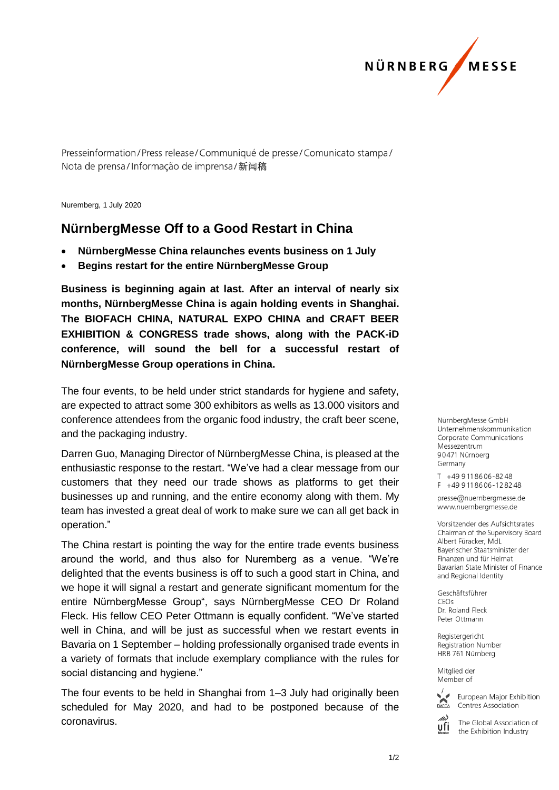

Presseinformation/Press release/Communiqué de presse/Comunicato stampa/ Nota de prensa/Informação de imprensa/新闻稿

Nuremberg, 1 July 2020

## **NürnbergMesse Off to a Good Restart in China**

- **NürnbergMesse China relaunches events business on 1 July**
- **Begins restart for the entire NürnbergMesse Group**

**Business is beginning again at last. After an interval of nearly six months, NürnbergMesse China is again holding events in Shanghai. The BIOFACH CHINA, NATURAL EXPO CHINA and CRAFT BEER EXHIBITION & CONGRESS trade shows, along with the PACK-iD conference, will sound the bell for a successful restart of NürnbergMesse Group operations in China.** 

The four events, to be held under strict standards for hygiene and safety, are expected to attract some 300 exhibitors as wells as 13.000 visitors and conference attendees from the organic food industry, the craft beer scene, and the packaging industry.

Darren Guo, Managing Director of NürnbergMesse China, is pleased at the enthusiastic response to the restart. "We've had a clear message from our customers that they need our trade shows as platforms to get their businesses up and running, and the entire economy along with them. My team has invested a great deal of work to make sure we can all get back in operation."

The China restart is pointing the way for the entire trade events business around the world, and thus also for Nuremberg as a venue. "We're delighted that the events business is off to such a good start in China, and we hope it will signal a restart and generate significant momentum for the entire NürnbergMesse Group", says NürnbergMesse CEO Dr Roland Fleck. His fellow CEO Peter Ottmann is equally confident. "We've started well in China, and will be just as successful when we restart events in Bavaria on 1 September – holding professionally organised trade events in a variety of formats that include exemplary compliance with the rules for social distancing and hygiene."

The four events to be held in Shanghai from 1–3 July had originally been scheduled for May 2020, and had to be postponed because of the coronavirus.

NürnbergMesse GmbH Unternehmenskommunikation Corporate Communications Messezentrum 90471 Nürnberg Germany

T +49 911 86 06 - 82 48  $F + 499118606 - 128248$ 

presse@nuernbergmesse.de www.nuernbergmesse.de

Vorsitzender des Aufsichtsrates Chairman of the Supervisory Board Albert Füracker, MdL Bayerischer Staatsminister der Finanzen und für Heimat Bavarian State Minister of Finance and Regional Identity

Geschäftsführer  $CFOs$ Dr. Roland Fleck Peter Ottmann

Registergericht Registration Number HRB 761 Nürnberg

Mitglied der Member of



European Major Exhibition Centres Association

The Global Association of ufi the Exhibition Industry